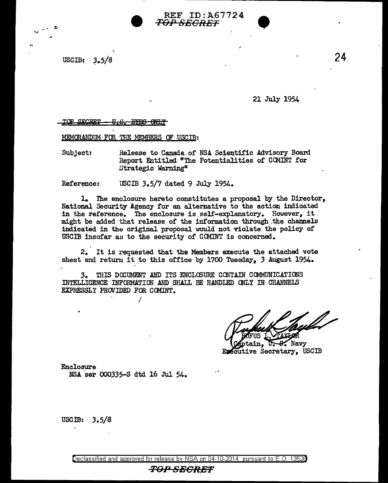USCIB:  $3.5/8$ 

.,

21 July 1954

## $SECRET - U.S.$  *EYES GNLY*

MEMORANDUM FOR THE MEMBERS OF USCIB:

Subject: Release to Canada of NSA Scientific Advisory Board Report Entitled "The Potentialities of CCMINT for Strategic Warning"

Reference: USCIB 3.5/7 dated 9 July 1954.

1. The enclosure hereto constitutes a proposal by the Director, National Security Agency for an alternative to the action indicated in the reference. The enclosure is self-explanatory. However, it might be added that release of the information through .the channels indicated in the original proposal would not violate the policy of USCIB insofar as to the security of COMINT is concerned.

2. It is requested that the Members execute the attached vote sheet and return it to this office by 1700 Tuesday, 3 August 1954.

*3.* THIS DOOUMENT AND ITS ENCLOOURE CONTAIN COMMUNICATIONS INTELLIGENCE INFORMATION AND SHALL BE HANDLED cmLY IN CHANNELS EXPRESSLY PROVIDED FOR CCMINT.

 $\mathcal{L}$  Navy in. Executive Secretary, USCIB

Enclosure

NSA ser 000335-S dtd 16 Jul 54.

/

USCIB:  $3.5/8$ 

TOP SECRET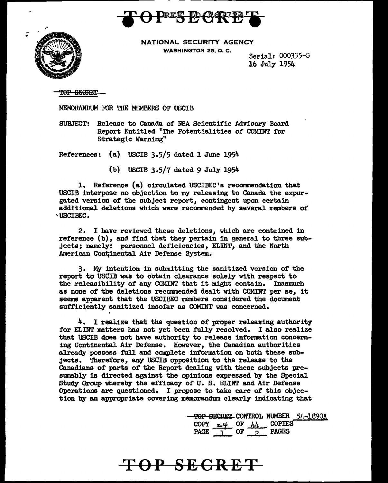



NATIONAL SECURITY AGENCY WASHINGTON 25, O. C.

Serial: 000335-S 16 July 1954

<del>POP SECRET</del>

MEMORANDUM roR THE MEMBERS OF USCIB

SUBJECT: Release to Canada of NSA Scientific Advisory Board Report Entitled "The Potentialities of COMINT for Strategic Warning"

References: (a) USCIB 3.5/5 dated 1 June 1954

(b) USCIB 3.5/7 dated 9 July 1954

1. Reference (a) circulated USCIBEC'a recommendation tbat USCIB interpose no objection to my releasing to Canada the expurgated version of the subject report, contingent upon certain additional deletions which were recommended by several members of 'USCIBEC.

2. I have reviewed these deletions, which are contained in reference (b), and find that they pertain in general to three subjects; namely: personnel deficiencies, ELINT, and the North American Continental Air Defense System.

3. My intention in submitting the sanitized version of the report to USCIB was to obtain clearance solely with respect to the releasibility of any COMINT that it might contain. Inasmuch as none of the deletions recommended dealt with COMINT per se, it seems apparent that the USCIBEC members considered the document sufficiently sanitized insofar as COMINT was concerned.

4. I realize that the question of proper releasing authority for ELINT matters has not yet been fully resolved. I also realize that USCIB does not have authority to release information concerning Continental Air Defense. However, the Canadian authorities already possess full and complete information on both these subjects. Therefore, any USCIB opposition to the release to the Canadians of parts of the Report dealing with these subjects presumably is directed against the opinions expressed by the Special Study Group whereby the efficacy of U.S. ELINT and Air Defense Operations are questioned. I propose to take care of this objection by an appropriate covering memorandum clearly indicating that

> $\frac{\text{TOP} \cdot \text{SCRET}}{\text{OPT} \cdot \text{COT}}$  CONTROL NUMBER  $\frac{54-1890A}{\text{OPT} \cdot \text{COT}}$ COPY  $\underset{1}{\underbrace{44}}$  OF  $\underset{2}{\underbrace{44}}$  COPIES<br>PAGE  $\overset{1}{\underset{1}{\text{P}}}}$ PAGE  $\overline{1}$  OF  $\overline{2}$

## **TOP SECRET**